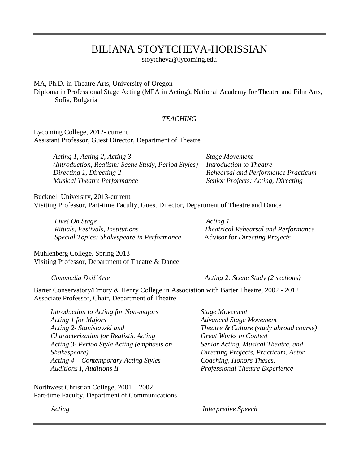# BILIANA STOYTCHEVA-HORISSIAN

stoytcheva@lycoming.edu

MA, Ph.D. in Theatre Arts, University of Oregon

Diploma in Professional Stage Acting (MFA in Acting), National Academy for Theatre and Film Arts, Sofia, Bulgaria

#### *TEACHING*

Lycoming College, 2012- current Assistant Professor, Guest Director, Department of Theatre

> *Acting 1, Acting 2, Acting 3 (Introduction, Realism: Scene Study, Period Styles) Directing 1, Directing 2 Musical Theatre Performance*

*Stage Movement Introduction to Theatre Rehearsal and Performance Practicum Senior Projects: Acting, Directing*

Bucknell University, 2013-current Visiting Professor, Part-time Faculty, Guest Director, Department of Theatre and Dance

| Live! On Stage                             |
|--------------------------------------------|
| Rituals, Festivals, Institutions           |
| Special Topics: Shakespeare in Performance |

 *Acting 1 Theatrical Rehearsal and Performance* Advisor for *Directing Projects*

Muhlenberg College, Spring 2013 Visiting Professor, Department of Theatre & Dance

*Commedia Dell'Arte Acting 2: Scene Study (2 sections)*

Barter Conservatory/Emory & Henry College in Association with Barter Theatre, 2002 - 2012 Associate Professor, Chair, Department of Theatre

| <b>Introduction to Acting for Non-majors</b> | <b>Stage Movement</b>                   |
|----------------------------------------------|-----------------------------------------|
| Acting 1 for Majors                          | <b>Advanced Stage Movement</b>          |
| Acting 2- Stanislavski and                   | Theatre & Culture (study abroad course) |
| Characterization for Realistic Acting        | <b>Great Works in Context</b>           |
| Acting 3- Period Style Acting (emphasis on   | Senior Acting, Musical Theatre, and     |
| Shakespeare)                                 | Directing Projects, Practicum, Actor    |
| Acting 4 – Contemporary Acting Styles        | Coaching, Honors Theses,                |
| <b>Auditions I, Auditions II</b>             | <b>Professional Theatre Experience</b>  |
|                                              |                                         |

Northwest Christian College, 2001 – 2002 Part-time Faculty, Department of Communications

 *Acting Interpretive Speech*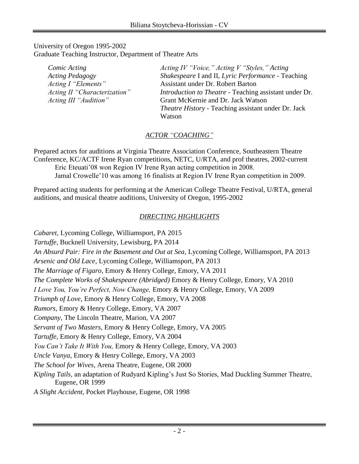#### University of Oregon 1995-2002 Graduate Teaching Instructor, Department of Theatre Arts

| Comic Acting                 | Acting IV "Voice," Acting V "Styles," Acting                  |
|------------------------------|---------------------------------------------------------------|
| <b>Acting Pedagogy</b>       | Shakespeare I and II, Lyric Performance - Teaching            |
| Acting I "Elements"          | Assistant under Dr. Robert Barton                             |
| Acting II "Characterization" | <i>Introduction to Theatre - Teaching assistant under Dr.</i> |
| Acting III "Audition"        | Grant McKernie and Dr. Jack Watson                            |
|                              | <i>Theatre History</i> - Teaching assistant under Dr. Jack    |
|                              | Watson                                                        |

## *ACTOR "COACHING"*

Prepared actors for auditions at Virginia Theatre Association Conference, Southeastern Theatre Conference, KC/ACTF Irene Ryan competitions, NETC, U/RTA, and prof theatres, 2002-current Eric Eteuati'08 won Region IV Irene Ryan acting competition in 2008. Jamal Crowelle'10 was among 16 finalists at Region IV Irene Ryan competition in 2009.

Prepared acting students for performing at the American College Theatre Festival, U/RTA, general auditions, and musical theatre auditions, University of Oregon, 1995-2002

## *DIRECTING HIGHLIGHTS*

*Cabaret,* Lycoming College, Williamsport, PA 2015 *Tartuffe,* Bucknell University, Lewisburg, PA 2014 *An Absurd Pair: Fire in the Basement and Out at Sea*, Lycoming College, Williamsport, PA 2013 *Arsenic and Old Lace*, Lycoming College, Williamsport, PA 2013 *The Marriage of Figaro*, Emory & Henry College, Emory, VA 2011 *The Complete Works of Shakespeare (Abridged)* Emory & Henry College, Emory, VA 2010 *I Love You, You're Perfect, Now Change,* Emory & Henry College, Emory, VA 2009 *Triumph of Love,* Emory & Henry College, Emory, VA 2008 *Rumors,* Emory & Henry College, Emory, VA 2007 *Company*, The Lincoln Theatre, Marion, VA 2007 *Servant of Two Masters,* Emory & Henry College, Emory, VA 2005 *Tartuffe*, Emory & Henry College, Emory, VA 2004 *You Can't Take It With You,* Emory & Henry College, Emory, VA 2003 *Uncle Vanya*, Emory & Henry College, Emory, VA 2003 *The School for Wives*, Arena Theatre, Eugene, OR 2000 *Kipling Tails,* an adaptation of Rudyard Kipling's Just So Stories, Mad Duckling Summer Theatre, Eugene, OR 1999 *A Slight Accident,* Pocket Playhouse, Eugene, OR 1998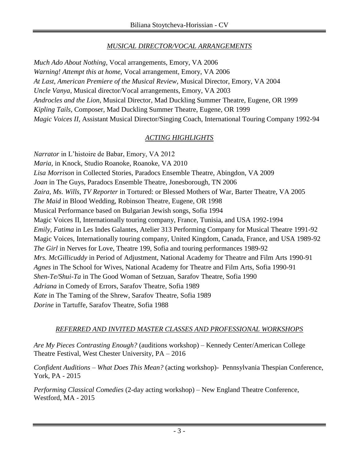## *MUSICAL DIRECTOR/VOCAL ARRANGEMENTS*

*Much Ado About Nothing,* Vocal arrangements, Emory, VA 2006 *Warning! Attempt this at home,* Vocal arrangement, Emory, VA 2006 *At Last, American Premiere of the Musical Review,* Musical Director, Emory, VA 2004 *Uncle Vanya*, Musical director/Vocal arrangements, Emory, VA 2003 *Androcles and the Lion*, Musical Director, Mad Duckling Summer Theatre, Eugene, OR 1999 *Kipling Tails*, Composer, Mad Duckling Summer Theatre, Eugene, OR 1999 *Magic Voices II*, Assistant Musical Director/Singing Coach, International Touring Company 1992-94

## *ACTING HIGHLIGHTS*

*Narrator* in L'histoire de Babar, Emory, VA 2012 *Maria,* in Knock*,* Studio Roanoke, Roanoke, VA 2010 *Lisa Morrison* in Collected Stories, Paradocs Ensemble Theatre, Abingdon, VA 2009 *Joan* in The Guys, Paradocs Ensemble Theatre, Jonesborough, TN 2006 *Zaira, Ms. Wills, TV Reporter* in Tortured: or Blessed Mothers of War, Barter Theatre, VA 2005 *The Maid* in Blood Wedding, Robinson Theatre, Eugene, OR 1998 Musical Performance based on Bulgarian Jewish songs, Sofia 1994 Magic Voices II, Internationally touring company, France, Tunisia, and USA 1992-1994 *Emily, Fatima* in Les Indes Galantes, Atelier 313 Performing Company for Musical Theatre 1991-92 Magic Voices, Internationally touring company, United Kingdom, Canada, France, and USA 1989-92 *The Girl* in Nerves for Love, Theatre 199, Sofia and touring performances 1989-92 *Mrs. McGillicuddy* in Period of Adjustment, National Academy for Theatre and Film Arts 1990-91 *Agnes* in The School for Wives, National Academy for Theatre and Film Arts, Sofia 1990-91 *Shen-Te/Shui-Ta* in The Good Woman of Setzuan, Sarafov Theatre, Sofia 1990 *Adriana* in Comedy of Errors, Sarafov Theatre, Sofia 1989 *Kate* in The Taming of the Shrew, Sarafov Theatre, Sofia 1989 *Dorine* in Tartuffe, Sarafov Theatre, Sofia 1988

### *REFERRED AND INVITED MASTER CLASSES AND PROFESSIONAL WORKSHOPS*

*Are My Pieces Contrasting Enough?* (auditions workshop) – Kennedy Center/American College Theatre Festival, West Chester University, PA – 2016

*Confident Auditions – What Does This Mean?* (acting workshop)*-* Pennsylvania Thespian Conference, York, PA - 2015

*Performing Classical Comedies* (2-day acting workshop) – New England Theatre Conference, Westford, MA - 2015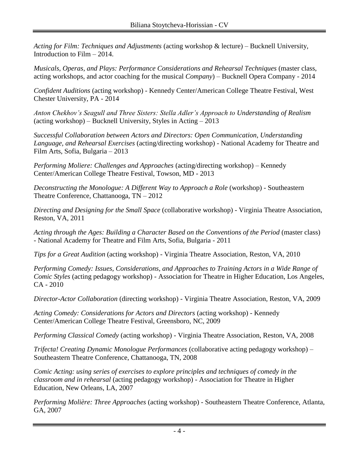*Acting for Film: Techniques and Adjustments* (acting workshop & lecture) – Bucknell University, Introduction to Film – 2014.

*Musicals, Operas, and Plays: Performance Considerations and Rehearsal Techniques (master class,* acting workshops, and actor coaching for the musical *Company*) – Bucknell Opera Company - 2014

*Confident Auditions* (acting workshop) *-* Kennedy Center/American College Theatre Festival, West Chester University, PA - 2014

*Anton Chekhov's Seagull and Three Sisters: Stella Adler's Approach to Understanding of Realism*  (acting workshop) – Bucknell University, Styles in Acting – 2013

*Successful Collaboration between Actors and Directors: Open Communication, Understanding Language, and Rehearsal Exercises* (acting/directing workshop) - National Academy for Theatre and Film Arts, Sofia, Bulgaria – 2013

*Performing Moliere: Challenges and Approaches* (acting/directing workshop) – Kennedy Center/American College Theatre Festival, Towson, MD - 2013

*Deconstructing the Monologue: A Different Way to Approach a Role* (workshop) - Southeastern Theatre Conference, Chattanooga, TN – 2012

*Directing and Designing for the Small Space* (collaborative workshop) - Virginia Theatre Association, Reston, VA, 2011

Acting through the Ages: Building a Character Based on the Conventions of the Period (master class) - National Academy for Theatre and Film Arts, Sofia, Bulgaria - 2011

*Tips for a Great Audition* (acting workshop) - Virginia Theatre Association, Reston, VA, 2010

*Performing Comedy: Issues, Considerations, and Approaches to Training Actors in a Wide Range of Comic Styles* (acting pedagogy workshop) - Association for Theatre in Higher Education, Los Angeles, CA - 2010

*Director-Actor Collaboration* (directing workshop) - Virginia Theatre Association, Reston, VA, 2009

*Acting Comedy: Considerations for Actors and Directors* (acting workshop) - Kennedy Center/American College Theatre Festival, Greensboro, NC, 2009

*Performing Classical Comedy* (acting workshop) - Virginia Theatre Association, Reston, VA, 2008

*Trifecta! Creating Dynamic Monologue Performances* (collaborative acting pedagogy workshop) – Southeastern Theatre Conference, Chattanooga, TN, 2008

*Comic Acting: using series of exercises to explore principles and techniques of comedy in the classroom and in rehearsal* (acting pedagogy workshop) - Association for Theatre in Higher Education, New Orleans, LA, 2007

*Performing Molière: Three Approaches* (acting workshop) - Southeastern Theatre Conference, Atlanta, GA, 2007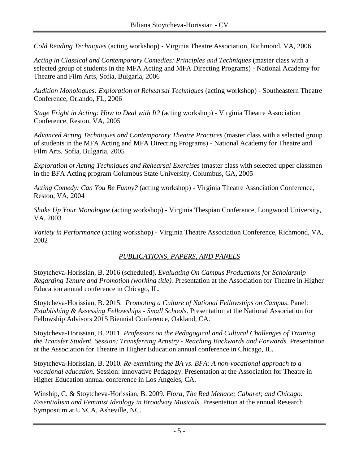*Cold Reading Techniques* (acting workshop) - Virginia Theatre Association, Richmond, VA, 2006

*Acting in Classical and Contemporary Comedies: Principles and Techniques* (master class with a selected group of students in the MFA Acting and MFA Directing Programs) - National Academy for Theatre and Film Arts, Sofia, Bulgaria, 2006

*Audition Monologues: Exploration of Rehearsal Techniques* (acting workshop) - Southeastern Theatre Conference, Orlando, FL, 2006

*Stage Fright in Acting: How to Deal with It?* (acting workshop) - Virginia Theatre Association Conference, Reston, VA, 2005

*Advanced Acting Techniques and Contemporary Theatre Practices* (master class with a selected group of students in the MFA Acting and MFA Directing Programs) - National Academy for Theatre and Film Arts, Sofia, Bulgaria, 2005

*Exploration of Acting Techniques and Rehearsal Exercises* (master class with selected upper classmen in the BFA Acting program Columbus State University, Columbus, GA, 2005

*Acting Comedy: Can You Be Funny?* (acting workshop) - Virginia Theatre Association Conference, Reston, VA, 2004

*Shake Up Your Monologue* (acting workshop) - Virginia Thespian Conference, Longwood University, VA, 2003

*Variety in Performance* (acting workshop) - Virginia Theatre Association Conference, Richmond, VA, 2002

## *PUBLICATIONS, PAPERS, AND PANELS*

Stoytcheva-Horissian, B. 2016 (scheduled). *Evaluating On Campus Productions for Scholarship Regarding Tenure and Promotion (working title).* Presentation at the Association for Theatre in Higher Education annual conference in Chicago, IL.

Stoytcheva-Horissian, B. 2015. *Promoting a Culture of National Fellowships on Campus*. Panel: *Establishing & Assessing Fellowships - Small Schools.* Presentation at the National Association for Fellowship Advisors 2015 Biennial Conference, Oakland, CA.

Stoytcheva-Horissian, B. 2011. *Professors on the Pedagogical and Cultural Challenges of Training the Transfer Student. Session: Transferring Artistry - Reaching Backwards and Forwards.* Presentation at the Association for Theatre in Higher Education annual conference in Chicago, IL.

Stoytcheva-Horissian, B. 2010*. Re-examining the BA vs. BFA: A non-vocational approach to a vocational education.* Session: Innovative Pedagogy. Presentation at the Association for Theatre in Higher Education annual conference in Los Angeles, CA.

Winship, C. & Stoytcheva-Horissian, B. 2009. *Flora, The Red Menace; Cabaret; and Chicago: Essentialism and Feminist Ideology in Broadway Musicals.* Presentation at the annual Research Symposium at UNCA, Asheville, NC.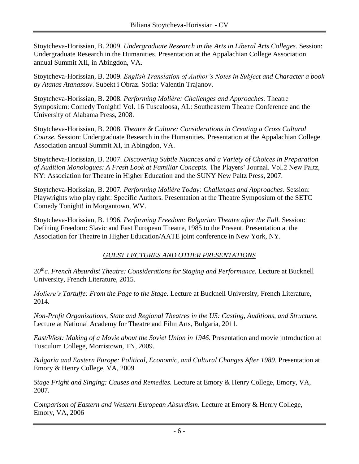Stoytcheva-Horissian, B. 2009. *Undergraduate Research in the Arts in Liberal Arts Colleges.* Session: Undergraduate Research in the Humanities. Presentation at the Appalachian College Association annual Summit XII, in Abingdon, VA.

Stoytcheva-Horissian, B. 2009. *English Translation of Author's Notes in Subject and Character a book by Atanas Atanassov*. Subekt i Obraz. Sofia: Valentin Trajanov.

Stoytcheva-Horissian, B. 2008. *Performing Molière: Challenges and Approaches.* Theatre Symposium: Comedy Tonight! Vol. 16 Tuscaloosa, AL: Southeastern Theatre Conference and the University of Alabama Press, 2008.

Stoytcheva-Horissian, B. 2008. *Theatre & Culture: Considerations in Creating a Cross Cultural Course.* Session: Undergraduate Research in the Humanities. Presentation at the Appalachian College Association annual Summit XI, in Abingdon, VA.

Stoytcheva-Horissian, B. 2007. *Discovering Subtle Nuances and a Variety of Choices in Preparation of Audition Monologues: A Fresh Look at Familiar Concepts.* The Players' Journal. Vol.2 New Paltz, NY: Association for Theatre in Higher Education and the SUNY New Paltz Press, 2007.

Stoytcheva-Horissian, B. 2007*. Performing Molière Today: Challenges and Approaches*. Session: Playwrights who play right: Specific Authors. Presentation at the Theatre Symposium of the SETC Comedy Tonight! in Morgantown, WV.

Stoytcheva-Horissian, B. 1996. *Performing Freedom: Bulgarian Theatre after the Fall.* Session: Defining Freedom: Slavic and East European Theatre, 1985 to the Present. Presentation at the Association for Theatre in Higher Education/AATE joint conference in New York, NY.

## *GUEST LECTURES AND OTHER PRESENTATIONS*

*20thc. French Absurdist Theatre: Considerations for Staging and Performance.* Lecture at Bucknell University, French Literature, 2015.

*Moliere's Tartuffe: From the Page to the Stage.* Lecture at Bucknell University, French Literature, 2014.

*Non-Profit Organizations, State and Regional Theatres in the US: Casting, Auditions, and Structure.* Lecture at National Academy for Theatre and Film Arts, Bulgaria, 2011.

*East/West: Making of a Movie about the Soviet Union in 1946*. Presentation and movie introduction at Tusculum College, Morristown, TN, 2009.

*Bulgaria and Eastern Europe: Political, Economic, and Cultural Changes After 1989*. Presentation at Emory & Henry College, VA, 2009

*Stage Fright and Singing: Causes and Remedies.* Lecture at Emory & Henry College, Emory, VA, 2007.

*Comparison of Eastern and Western European Absurdism.* Lecture at Emory & Henry College, Emory, VA, 2006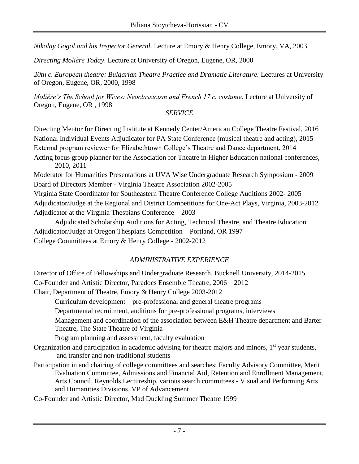*Nikolay Gogol and his Inspector General*. Lecture at Emory & Henry College, Emory, VA, 2003.

*Directing Molière Today*. Lecture at University of Oregon, Eugene, OR, 2000

20th c. European theatre: Bulgarian Theatre Practice and Dramatic Literature. Lectures at University of Oregon, Eugene, OR, 2000, 1998

*Molière's The School for Wives: Neoclassicism and French 17 c. costume*. Lecture at University of Oregon, Eugene, OR , 1998

## *SERVICE*

Directing Mentor for Directing Institute at Kennedy Center/American College Theatre Festival, 2016 National Individual Events Adjudicator for PA State Conference (musical theatre and acting), 2015 External program reviewer for Elizabethtown College's Theatre and Dance department, 2014 Acting focus group planner for the Association for Theatre in Higher Education national conferences, 2010, 2011

Moderator for Humanities Presentations at UVA Wise Undergraduate Research Symposium - 2009 Board of Directors Member - Virginia Theatre Association 2002-2005

Virginia State Coordinator for Southeastern Theatre Conference College Auditions 2002- 2005 Adjudicator/Judge at the Regional and District Competitions for One-Act Plays, Virginia, 2003-2012 Adjudicator at the Virginia Thespians Conference – 2003

Adjudicated Scholarship Auditions for Acting, Technical Theatre, and Theatre Education Adjudicator/Judge at Oregon Thespians Competition – Portland, OR 1997 College Committees at Emory & Henry College - 2002-2012

# *ADMINISTRATIVE EXPERIENCE*

Director of Office of Fellowships and Undergraduate Research, Bucknell University, 2014-2015 Co-Founder and Artistic Director, Paradocs Ensemble Theatre, 2006 – 2012 Chair, Department of Theatre, Emory & Henry College 2003-2012

Curriculum development – pre-professional and general theatre programs

Departmental recruitment, auditions for pre-professional programs, interviews

Management and coordination of the association between E&H Theatre department and Barter Theatre, The State Theatre of Virginia

Program planning and assessment, faculty evaluation

- Organization and participation in academic advising for theatre majors and minors,  $1<sup>st</sup>$  year students, and transfer and non-traditional students
- Participation in and chairing of college committees and searches: Faculty Advisory Committee, Merit Evaluation Committee, Admissions and Financial Aid, Retention and Enrollment Management, Arts Council, Reynolds Lectureship, various search committees - Visual and Performing Arts and Humanities Divisions, VP of Advancement
- Co-Founder and Artistic Director, Mad Duckling Summer Theatre 1999